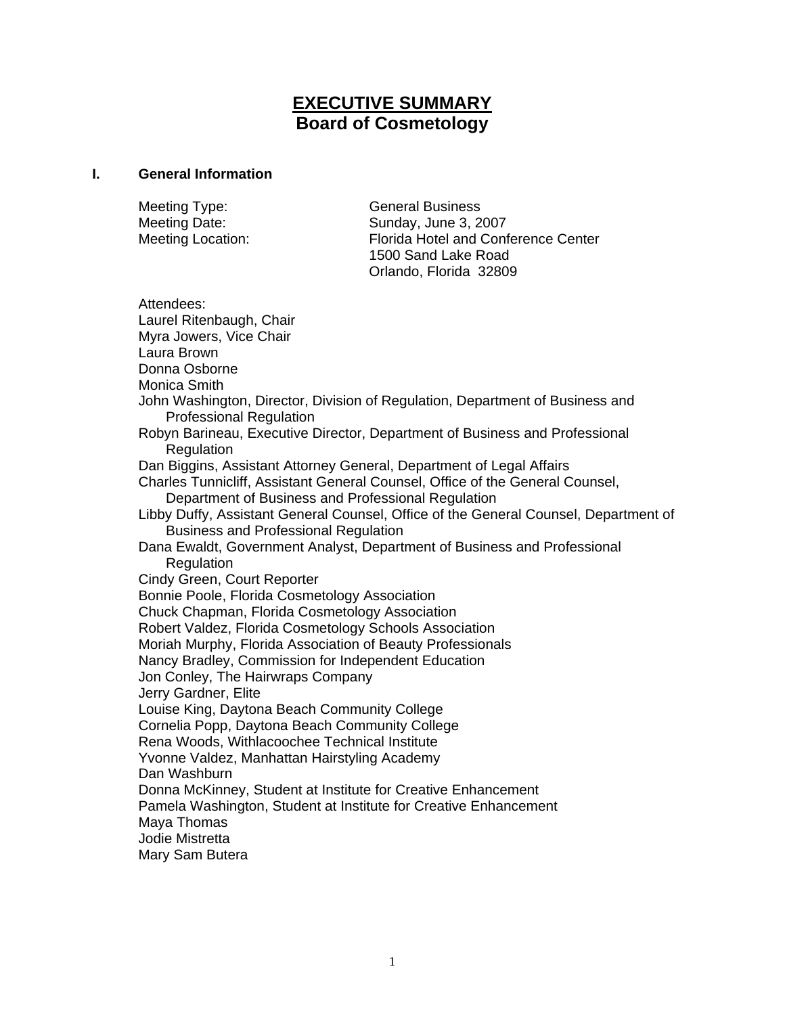# **EXECUTIVE SUMMARY Board of Cosmetology**

#### **I. General Information**

Meeting Type: General Business Meeting Date: Sunday, June 3, 2007

Meeting Location: Florida Hotel and Conference Center 1500 Sand Lake Road Orlando, Florida 32809

Attendees: Laurel Ritenbaugh, Chair Myra Jowers, Vice Chair Laura Brown Donna Osborne Monica Smith John Washington, Director, Division of Regulation, Department of Business and Professional Regulation Robyn Barineau, Executive Director, Department of Business and Professional Regulation Dan Biggins, Assistant Attorney General, Department of Legal Affairs Charles Tunnicliff, Assistant General Counsel, Office of the General Counsel, Department of Business and Professional Regulation Libby Duffy, Assistant General Counsel, Office of the General Counsel, Department of Business and Professional Regulation Dana Ewaldt, Government Analyst, Department of Business and Professional **Regulation** Cindy Green, Court Reporter Bonnie Poole, Florida Cosmetology Association Chuck Chapman, Florida Cosmetology Association Robert Valdez, Florida Cosmetology Schools Association Moriah Murphy, Florida Association of Beauty Professionals Nancy Bradley, Commission for Independent Education Jon Conley, The Hairwraps Company Jerry Gardner, Elite Louise King, Daytona Beach Community College Cornelia Popp, Daytona Beach Community College Rena Woods, Withlacoochee Technical Institute Yvonne Valdez, Manhattan Hairstyling Academy Dan Washburn Donna McKinney, Student at Institute for Creative Enhancement Pamela Washington, Student at Institute for Creative Enhancement Maya Thomas Jodie Mistretta Mary Sam Butera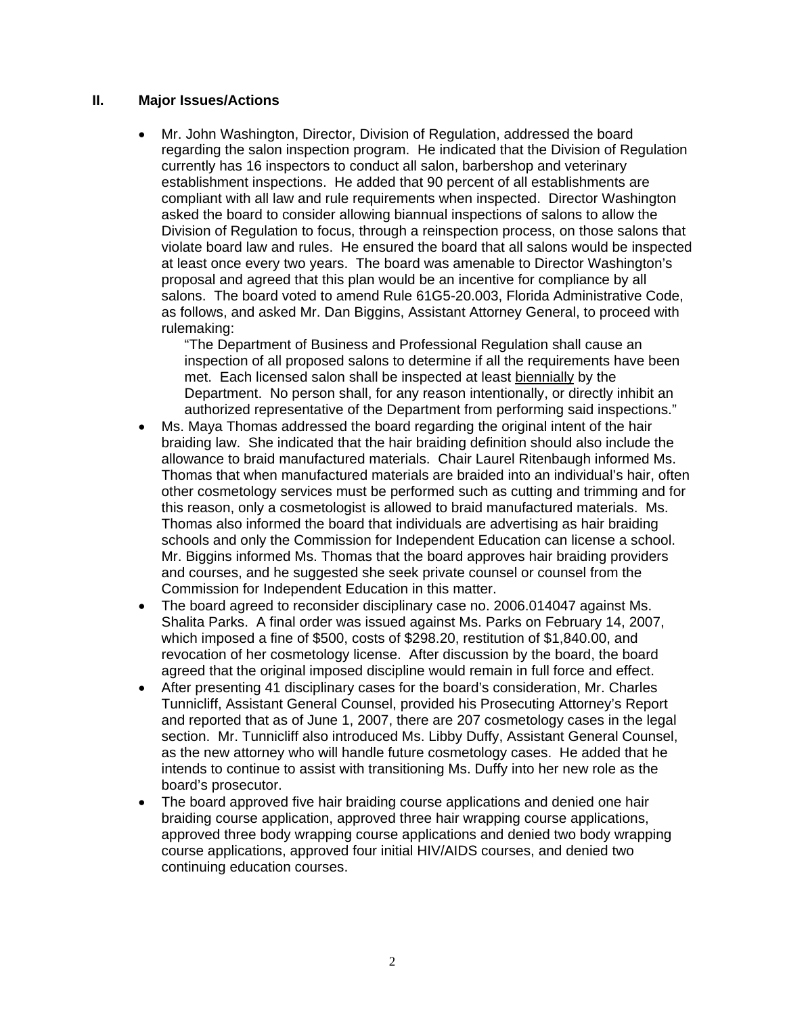#### **II. Major Issues/Actions**

• Mr. John Washington, Director, Division of Regulation, addressed the board regarding the salon inspection program. He indicated that the Division of Regulation currently has 16 inspectors to conduct all salon, barbershop and veterinary establishment inspections. He added that 90 percent of all establishments are compliant with all law and rule requirements when inspected. Director Washington asked the board to consider allowing biannual inspections of salons to allow the Division of Regulation to focus, through a reinspection process, on those salons that violate board law and rules. He ensured the board that all salons would be inspected at least once every two years. The board was amenable to Director Washington's proposal and agreed that this plan would be an incentive for compliance by all salons. The board voted to amend Rule 61G5-20.003, Florida Administrative Code, as follows, and asked Mr. Dan Biggins, Assistant Attorney General, to proceed with rulemaking:

"The Department of Business and Professional Regulation shall cause an inspection of all proposed salons to determine if all the requirements have been met. Each licensed salon shall be inspected at least biennially by the Department. No person shall, for any reason intentionally, or directly inhibit an authorized representative of the Department from performing said inspections."

- Ms. Maya Thomas addressed the board regarding the original intent of the hair braiding law. She indicated that the hair braiding definition should also include the allowance to braid manufactured materials. Chair Laurel Ritenbaugh informed Ms. Thomas that when manufactured materials are braided into an individual's hair, often other cosmetology services must be performed such as cutting and trimming and for this reason, only a cosmetologist is allowed to braid manufactured materials. Ms. Thomas also informed the board that individuals are advertising as hair braiding schools and only the Commission for Independent Education can license a school. Mr. Biggins informed Ms. Thomas that the board approves hair braiding providers and courses, and he suggested she seek private counsel or counsel from the Commission for Independent Education in this matter.
- The board agreed to reconsider disciplinary case no. 2006.014047 against Ms. Shalita Parks. A final order was issued against Ms. Parks on February 14, 2007, which imposed a fine of \$500, costs of \$298.20, restitution of \$1,840.00, and revocation of her cosmetology license. After discussion by the board, the board agreed that the original imposed discipline would remain in full force and effect.
- After presenting 41 disciplinary cases for the board's consideration, Mr. Charles Tunnicliff, Assistant General Counsel, provided his Prosecuting Attorney's Report and reported that as of June 1, 2007, there are 207 cosmetology cases in the legal section. Mr. Tunnicliff also introduced Ms. Libby Duffy, Assistant General Counsel, as the new attorney who will handle future cosmetology cases. He added that he intends to continue to assist with transitioning Ms. Duffy into her new role as the board's prosecutor.
- The board approved five hair braiding course applications and denied one hair braiding course application, approved three hair wrapping course applications, approved three body wrapping course applications and denied two body wrapping course applications, approved four initial HIV/AIDS courses, and denied two continuing education courses.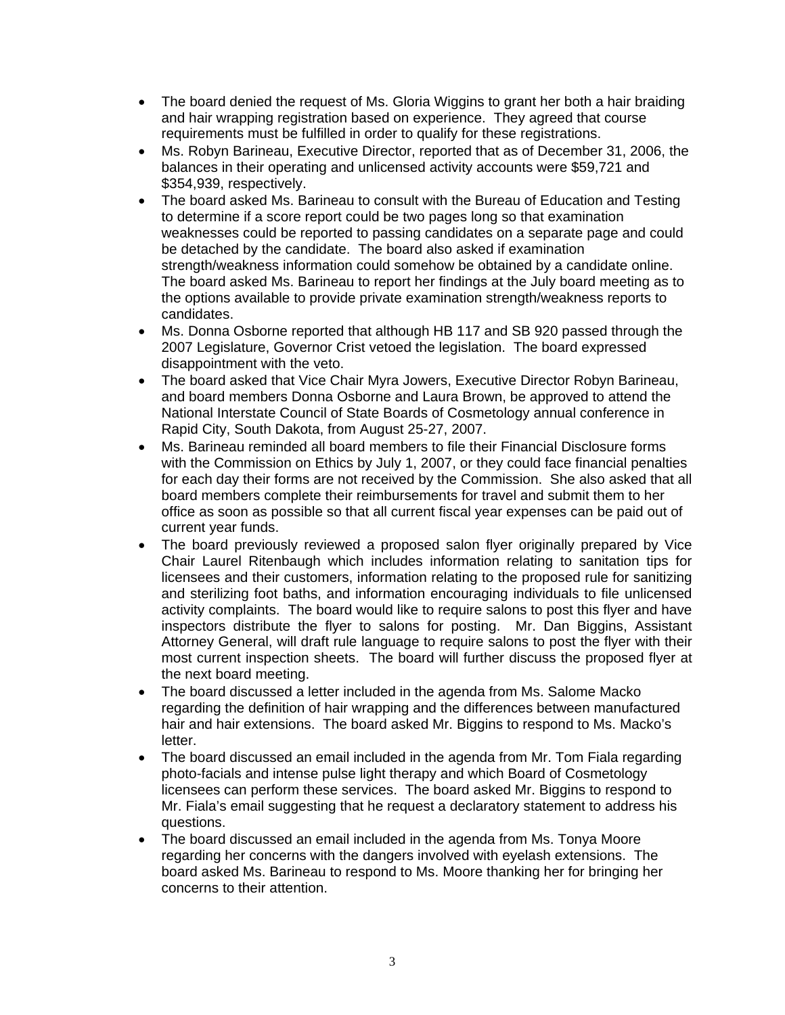- The board denied the request of Ms. Gloria Wiggins to grant her both a hair braiding and hair wrapping registration based on experience. They agreed that course requirements must be fulfilled in order to qualify for these registrations.
- Ms. Robyn Barineau, Executive Director, reported that as of December 31, 2006, the balances in their operating and unlicensed activity accounts were \$59,721 and \$354,939, respectively.
- The board asked Ms. Barineau to consult with the Bureau of Education and Testing to determine if a score report could be two pages long so that examination weaknesses could be reported to passing candidates on a separate page and could be detached by the candidate. The board also asked if examination strength/weakness information could somehow be obtained by a candidate online. The board asked Ms. Barineau to report her findings at the July board meeting as to the options available to provide private examination strength/weakness reports to candidates.
- Ms. Donna Osborne reported that although HB 117 and SB 920 passed through the 2007 Legislature, Governor Crist vetoed the legislation. The board expressed disappointment with the veto.
- The board asked that Vice Chair Myra Jowers, Executive Director Robyn Barineau, and board members Donna Osborne and Laura Brown, be approved to attend the National Interstate Council of State Boards of Cosmetology annual conference in Rapid City, South Dakota, from August 25-27, 2007.
- Ms. Barineau reminded all board members to file their Financial Disclosure forms with the Commission on Ethics by July 1, 2007, or they could face financial penalties for each day their forms are not received by the Commission. She also asked that all board members complete their reimbursements for travel and submit them to her office as soon as possible so that all current fiscal year expenses can be paid out of current year funds.
- The board previously reviewed a proposed salon flyer originally prepared by Vice Chair Laurel Ritenbaugh which includes information relating to sanitation tips for licensees and their customers, information relating to the proposed rule for sanitizing and sterilizing foot baths, and information encouraging individuals to file unlicensed activity complaints. The board would like to require salons to post this flyer and have inspectors distribute the flyer to salons for posting. Mr. Dan Biggins, Assistant Attorney General, will draft rule language to require salons to post the flyer with their most current inspection sheets. The board will further discuss the proposed flyer at the next board meeting.
- The board discussed a letter included in the agenda from Ms. Salome Macko regarding the definition of hair wrapping and the differences between manufactured hair and hair extensions. The board asked Mr. Biggins to respond to Ms. Macko's letter.
- The board discussed an email included in the agenda from Mr. Tom Fiala regarding photo-facials and intense pulse light therapy and which Board of Cosmetology licensees can perform these services. The board asked Mr. Biggins to respond to Mr. Fiala's email suggesting that he request a declaratory statement to address his questions.
- The board discussed an email included in the agenda from Ms. Tonya Moore regarding her concerns with the dangers involved with eyelash extensions. The board asked Ms. Barineau to respond to Ms. Moore thanking her for bringing her concerns to their attention.